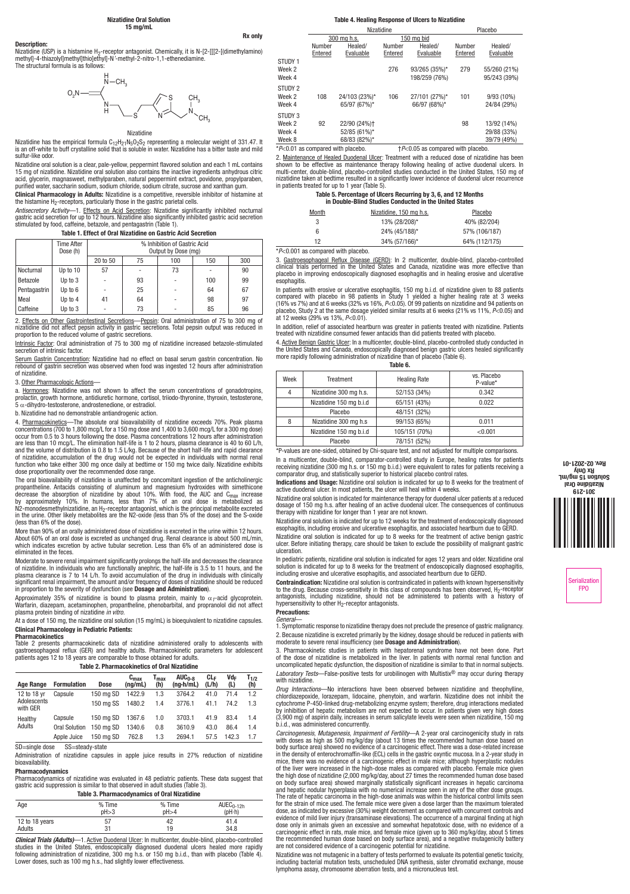# Nizatidine Oral Solution 15 mg/mL

**Description:**<br>Nizatidine (USP) is a histamine H<sub>2</sub>-receptor antagonist. Chemically, it is N-[2-[[[2-[(dimethylamino)<br>methyl]-4-thiazolyl]methyl]thio]ethyl]-N <sup>z</sup>-methyl-2-nitro-1,1-ethenediamine.<br>The structural formula is



# Nizatidine

Nizatidine has the empirical formula C<sub>12</sub>H<sub>21</sub>N<sub>5</sub>O<sub>2</sub>S<sub>2</sub> representing a molecular weight of 331.47. It<br>is an off-white to buff crystalline solid that is soluble in water. Nizatidine has a bitter taste and mild sulfur-like odor.

Nizatidine oral solution is a clear, pale-yellow, peppermint flavored solution and each 1 mL contains<br>15 mg of nizatidine. Nizatidine oral solution also contains the inactive ingredients anhydrous citric<br>acid, glycerin, ma purified water, saccharin sodium, sodium chloride, sodium citrate, sucrose and xanthan gum.

Clinical Pharmacology in Adults: Nizatidine is a competitive, reversible inhibitor of histamine at

the histamine H<sub>2</sub>-receptors, particularly those in the gastric parietal cells.<br>*Antisecretory Activit*y—1. <u>Effects\_on\_Acid\_Secretion</u>: Nizatidine\_significantly\_inhibited\_nocturnal<br>gastric acid secretion for up to 12 hour

Table 1. Effect of Oral Nizatidine on Gastric Acid Secretion

|              | Time After<br>Dose (h) | % Inhibition of Gastric Acid<br>Output by Dose (mg) |    |     |     |     |
|--------------|------------------------|-----------------------------------------------------|----|-----|-----|-----|
|              |                        | 20 to 50                                            | 75 | 100 | 150 | 300 |
| Nocturnal    | Up to 10               | 57                                                  |    | 73  |     | 90  |
| Betazole     | Up to 3                |                                                     | 93 | ٠   | 100 | 99  |
| Pentagastrin | Up to 6                |                                                     | 25 | ٠   | 64  | 67  |
| Meal         | Up to 4                | 41                                                  | 64 | ٠   | 98  | 97  |
| Caffeine     | Up to 3                |                                                     | 73 | ۰   | 85  | 96  |

2. <u>Effects on Other Gastrointestinal Secretions—Pepsin</u>: Oral administration of 75 to 300 mg of<br>nizatidine did not affect pepsin activity in gastric secretions. Total pepsin output was reduced in<br>proportion to the reduced

Intrinsic Factor: Oral administration of 75 to 300 mg of nizatidine increased betazole-stimulated secretion of intrinsic factor.

Serum Gastrin Concentration: Nizatidine had no effect on basal serum gastrin concentration. No rebound of gastrin secretion was observed when food was ingested 12 hours after administration of nizatidine.

## 3. Other Pharmacologic Actions—

a. Hormones: Nizatidine was not shown to affect the serum concentrations of gonadotropins, prolactin, growth hormone, antidiuretic hormone, cortisol, triiodo-thyronine, thyroxin, testosterone,<br>5 α-dihydro-testosterone, androstenedione, or estradiol.

b. Nizatidine had no demonstrable antiandrogenic action.

4. <u>Pharmacokinetics</u>—The absolute oral bioavailability of nizatidine exceeds 70%. Peak plasma<br>concentrations (700 to 1,800 mcg/L for a 150 mg dose and 1,400 to 3,600 mcg/L for a 300 mg dose) occur from 0.5 to 3 hours following the dose. Plasma concentrations 12 hours after administration<br>are less than 10 mcg/L. The elimination half-life is 1 to 2 hours, plasma clearance is 40 to 60 L/h,<br>and the volume of distr dose proportionality over the recommended dose range.

The oral bioavailability of nizatidine is unaffected by concomitant ingestion of the anticholinergic propantheline. Antacids consisting of aluminum and magnesium hydroxides with simethicone decrease the absorption of nizatidine by about 10%. With food, the AUC and C<sub>max</sub> increase<br>by approximately 10%. In humans, less than 7% of an oral dose is metabolized as<br>N2-monodesmethylnizatidine, an H<sub>2</sub>-receptor antago (less than 6% of the dose).

More than 90% of an orally administered dose of nizatidine is excreted in the urine within 12 hours. About 60% of an oral dose is excreted as unchanged drug. Renal clearance is about 500 mL/min, which indicates excretion by active tubular secretion. Less than 6% of an administered dose is eliminated in the feces.

Moderate to severe renal impairment significantly prolongs the half-life and decreases the clearance<br>of nizatidine. In individuals who are functionally anephric, the half-life is 3.5 to 11 hours, and the<br>plasma clearance i significant renal impairment, the amount and/or frequency of doses of nizatidine should be reduced<br>in proportion to the severity of dysfunction (see **Dosage and Administration**).

Approximately 35% of nizatidine is bound to plasma protein, mainly to α<sub>1</sub>-acid glycoprotein.<br>Warfarin, diazepam, acetaminophen, propantheline, phenobarbital, and propranolol did not affect plasma protein binding of nizatidine *in vitro*.

At a dose of 150 mg, the nizatidine oral solution (15 mg/mL) is bioequivalent to nizatidine capsules. Clinical Pharmacology in Pediatric Patients:

#### Pharmacokinetics

Table 2 presents pharmacokinetic data of nizatidine administered orally to adolescents with gastroesophageal reflux (GER) and healthy adults. Pharmacokinetic parameters for adolescent patients ages 12 to 18 years are comparable to those obtained for adults.

# Table 2. Pharmacokinetics of Oral Nizatidine

| Age Range               | <b>Formulation</b>   | Dose      | $\mathtt{c_{max}}$<br>(nq/mL) | max<br>(h) | $AUC_{n-R}$<br>$(na-h/mL)$ | CLc<br>(L/h) | Vdc<br>(L) | $\mathsf{T}_{1/2}$<br>(h) |
|-------------------------|----------------------|-----------|-------------------------------|------------|----------------------------|--------------|------------|---------------------------|
| 12 to 18 yr             | Capsule              | 150 ma SD | 1422.9                        | 1.3        | 3764.2                     | 41.0         | 71.4       | 1.2                       |
| Adolescents<br>with GER |                      | 150 mg SS | 1480.2                        | 1.4        | 3776.1                     | 41.1         | 74.2       | 1.3                       |
| Healthy                 | Capsule              | 150 mg SD | 1367.6                        | 1.0        | 3703.1                     | 41.9         | 83.4       | 1.4                       |
| Adults                  | <b>Oral Solution</b> | 150 mg SD | 1340.6                        | 0.8        | 3610.9                     | 43.0         | 86.4       | 1.4                       |
|                         | Apple Juice          | 150 mg SD | 762.8                         | 1.3        | 2694.1                     | 57.5         | 142.3      | 1.7                       |

SD=single dose SS=steady-state

# Administration of nizatidine capsules in apple juice results in 27% reduction of nizatidine

**bioavailability** 

**Pharmacodynamics**<br>Pharmacodynamics of nizatidine was evaluated in 48 pediatric patients. These data suggest that gastric acid suppression is similar to that observed in adult studies (Table 3).

Table 3. Pharmacodynamics of Oral Nizatidine

| Age            | % Time | % Time | $AUEC0-12h$ |
|----------------|--------|--------|-------------|
|                | pH > 3 | pH > 4 | (pH-h)      |
| 12 to 18 years | 57     | 42     | 41.4        |
| Adults         | 31     | 19     | 34.8        |

*Clinical Trials (Adults)*—1. Active Duodenal Ulcer: In multicenter, double-blind, placebo-controlled studies in the United States, endoscopically diagnosed duodenal ulcers healed more rapidly<br>following administration of nizatidine, 300 mg h.s. or 150 mg b.i.d., than with placebo (Table 4).<br>Lower doses, such as 100 mg h.s.

# Table 4. Healing Response of Ulcers to Nizatidine

|                                              | Nizatidine        |                                       |                   |                      | Placebo           |                      |
|----------------------------------------------|-------------------|---------------------------------------|-------------------|----------------------|-------------------|----------------------|
|                                              | 300 mg h.s.       |                                       | 150 mg bid        |                      |                   |                      |
|                                              | Number<br>Entered | Healed/<br>Evaluable                  | Number<br>Entered | Healed/<br>Evaluable | Number<br>Entered | Healed/<br>Evaluable |
| STUDY 1<br>Week <sub>2</sub>                 |                   |                                       | 276               | 93/265 (35%)*        | 279               | 55/260 (21%)         |
| Week 4                                       |                   |                                       |                   | 198/259 (76%)        |                   | 95/243 (39%)         |
| STUDY 2                                      |                   |                                       |                   |                      |                   |                      |
| Week <sub>2</sub>                            | 108               | 24/103 (23%)*                         | 106               | 27/101 (27%)*        | 101               | 9/93 (10%)           |
| Week 4                                       |                   | 65/97 (67%)*                          |                   | 66/97 (68%)*         |                   | 24/84 (29%)          |
| STUDY 3                                      |                   |                                       |                   |                      |                   |                      |
| Week <sub>2</sub>                            | 92                | 22/90 (24%)+                          |                   |                      | 98                | 13/92 (14%)          |
| Week 4                                       |                   | 52/85 (61%)*                          |                   |                      |                   | 29/88 (33%)          |
| Week 8                                       |                   | 68/83 (82%)*                          |                   |                      |                   | 39/79 (49%)          |
| D <sub>C</sub> O 01 ac compared with placebo |                   | $+D$ and diluy homeomorphisms and $D$ |                   |                      |                   |                      |

\**P*<0.01 as compared with placebo. †*P*<0.05 as compared with placebo. 2. Maintenance of Healed Duodenal Ulcer: Treatment with a reduced dose of nizatidine has been shown to be effective as maintenance therapy following healing of active duodenal ulcers. In multi-center, double-blind, placebo-controlled studies conducted in the United States, 150 mg of<br>nizatidine taken at bedtime resulted in a significantly lower incidence of duodenal ulcer recurrence<br>in patients treated for

# Table 5. Percentage of Ulcers Recurring by 3, 6, and 12 Months in Double-Blind Studies Conducted in the United States

| III DUUNIC-DIIIIU JUUNGS VUHUULIGU III UIG UHILGU JUUGS |                         |               |  |  |  |
|---------------------------------------------------------|-------------------------|---------------|--|--|--|
| Month                                                   | Nizatidine, 150 mg h.s. | Placebo       |  |  |  |
| 3                                                       | 13% (28/208)*           | 40% (82/204)  |  |  |  |
| 6                                                       | 24% (45/188)*           | 57% (106/187) |  |  |  |
| 12                                                      | 34% (57/166)*           | 64% (112/175) |  |  |  |

\**P*<0.001 as compared with placebo.

Rx only

ST<br>W

 $S<sub>1</sub>$ 

 $S<sub>1</sub>$ 

3. <u>Gastroesophageal Reflux Disease (GERD)</u>: In 2 multicenter, double-blind, placebo-controlled<br>clinical trials performed in the United States and Canada, nizatidine was more effective than placebo in improving endoscopically diagnosed esophagitis and in healing erosive and ulcerative esophagitis.

In patients with erosive or ulcerative esophagitis, 150 mg b.i.d. of nizatidine given to 88 patients<br>compared with placebo in 98 patients in Study 1 yielded a higher healing rate at 3 weeks<br>(16% vs 7%) and at 6 weeks (32% placebo, Study 2 at the same dosage yielded similar results at 6 weeks (21% vs 11%, *P*<0.05) and at 12 weeks (29% vs 13%, *P*<0.01).

In addition, relief of associated heartburn was greater in patients treated with nizatidine. Patients treated with nizatidine consumed fewer antacids than did patients treated with placebo.

4. Active Benign Gastric Ulcer: In a multicenter, double-blind, placebo-controlled study conducted in the United States and Canada, endoscopically diagnosed benign gastric ulcers healed significantly more rapidly following administration of nizatidine than of placebo (Table 6).

| Table 6. |                         |                     |                         |  |  |
|----------|-------------------------|---------------------|-------------------------|--|--|
| Week     | Treatment               | <b>Healing Rate</b> | vs. Placebo<br>P-value* |  |  |
| 4        | Nizatidine 300 mg h.s.  | 52/153 (34%)        | 0.342                   |  |  |
|          | Nizatidine 150 mg b.i.d | 65/151 (43%)        | 0.022                   |  |  |
|          | Placebo                 | 48/151 (32%)        |                         |  |  |
| 8        | Nizatidine 300 mg h.s   | 99/153 (65%)        | 0.011                   |  |  |
|          | Nizatidine 150 mg b.i.d | 105/151 (70%)       | < 0.001                 |  |  |
|          | Placebo                 | 78/151 (52%)        |                         |  |  |

\*P-values are one-sided, obtained by Chi-square test, and not adjusted for multiple comparisons. In a multicenter, double-blind, comparator-controlled study in Europe, healing rates for patients receiving nizatidine (300 mg h.s. or 150 mg b.i.d.) were equivalent to rates for patients receiving a comparator drug, and statistically superior to historical placebo control rates.

Indications and Usage: Nizatidine oral solution is indicated for up to 8 weeks for the treatment of active duodenal ulcer. In most patients, the ulcer will heal within 4 weeks.

Nizatidine oral solution is indicated for maintenance therapy for duodenal ulcer patients at a reduced dosage of 150 mg h.s. after healing of an active duodenal ulcer. The consequences of continuous therapy with nizatidine for longer than 1 year are not known.

Nizatidine oral solution is indicated for up to 12 weeks for the treatment of endoscopically diagnosed esophagitis, including erosive and ulcerative esophagitis, and associated heartburn due to GERD. Nizatidine oral solution is indicated for up to 8 weeks for the treatment of active benign gastric

ulcer. Before initiating therapy, care should be taken to exclude the possibility of malignant gastric ulceration.

In pediatric patients, nizatidine oral solution is indicated for ages 12 years and older. Nizatidine oral solution is indicated for up to 8 weeks for the treatment of endoscopically diagnosed esophagitis, including erosive and ulcerative esophagitis, and associated heartburn due to GERD.

Contraindication: Nizatidine oral solution is contraindicated in patients with known hypersensitivity to the drug. Because cross-sensitivity in this class of compounds has been observed, H<sub>2</sub>-receptor<br>antagonists, including nizatidine, should not be administered to patients with a history of hypersensitivity to other  $H_2$ -receptor antagonists.

#### Precautions: *General*—

1. Symptomatic response to nizatidine therapy does not preclude the presence of gastric malignancy. 2. Because nizatidine is excreted primarily by the kidney, dosage should be reduced in patients with<br>moderate to severe renal insufficiency (see **Dosage and Administration**).

3. Pharmacokinetic studies in patients with hepatorenal syndrome have not been done. Part<br>of the dose of nizatidine is metabolized in the liver. In patients with normal renal function and<br>uncomplicated hepatic dysfunction, *Laboratory Tests*—False-positive tests for urobilinogen with Multistix® may occur during therapy with nizatidine.

*Drug Interactions*—No interactions have been observed between nizatidine and theophylline, chlordiazepoxide, lorazepam, lidocaine, phenytoin, and warfarin. Nizatidine does not inihilit the<br>cytochrome P-450-linked drug-metabolizing enzyme system; therefore, drug interactions mediated<br>by inhibition of hepatic meta

*Carcinogenesis, Mutagenesis, Impairment of Fertility*—A 2-year oral carcinogenicity study in rats<br>with doses as high as 500 mg/kg/day (about 13 times the recommended human dose based on body surface area) showed no evidence of a carcinogenic effect. There was a dose-related increase in the density of enterochromaffin-like (ECL) cells in the gastric oxyntic mucosa. In a 2-year study in mice, there was no evidence of a carcinogenic effect in male mice; although hyperplastic nodules<br>of the liver were increased in the high-dose males as compared with placebo. Female mice given<br>the high dose of nizatidine (2 The rate of hepatic carcinoma in the high-dose animals was within the historical control limits seen for the strain of mice used. The female mice were given a dose larger than the maximum tolerated dose, as indicated by excessive (30%) weight decrement as compared with concurrent controls and evidence of mild liver injury (transaminase elevations). The occurrence of a marginal finding at high<br>dose only in animals given an excessive and somewhat hepatotoxic dose, with no evidence of a<br>carcinogenic effect in rats

Nizatidine was not mutagenic in a battery of tests performed to evaluate its potential genetic toxicity, including bacterial mutation tests, unscheduled DNA synthesis, sister chromatid exchange, mouse lymphoma assay, chromosome aberration tests, and a micronucleus test.



| Serialization<br><b>FPO</b> |
|-----------------------------|
|-----------------------------|